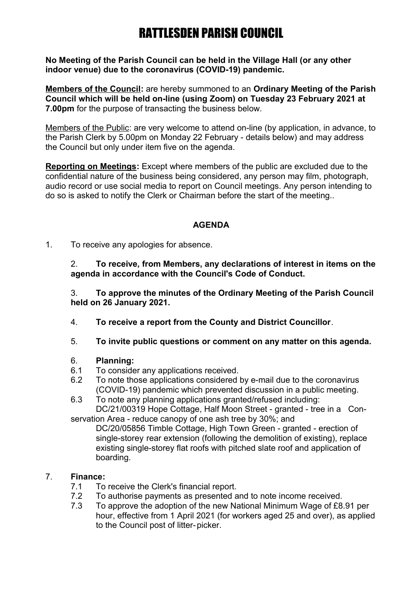# RATTLESDEN PARISH COUNCIL

**No Meeting of the Parish Council can be held in the Village Hall (or any other indoor venue) due to the coronavirus (COVID-19) pandemic.** 

**Members of the Council:** are hereby summoned to an **Ordinary Meeting of the Parish Council which will be held on-line (using Zoom) on Tuesday 23 February 2021 at 7.00pm** for the purpose of transacting the business below.

Members of the Public: are very welcome to attend on-line (by application, in advance, to the Parish Clerk by 5.00pm on Monday 22 February - details below) and may address the Council but only under item five on the agenda.

**Reporting on Meetings:** Except where members of the public are excluded due to the confidential nature of the business being considered, any person may film, photograph, audio record or use social media to report on Council meetings. Any person intending to do so is asked to notify the Clerk or Chairman before the start of the meeting..

## **AGENDA**

1. To receive any apologies for absence.

2. **To receive, from Members, any declarations of interest in items on the agenda in accordance with the Council's Code of Conduct.**

3. **To approve the minutes of the Ordinary Meeting of the Parish Council held on 26 January 2021.**

- 4. **To receive a report from the County and District Councillor**.
- 5. **To invite public questions or comment on any matter on this agenda.**

### 6. **Planning:**

- 6.1 To consider any applications received.
- 6.2 To note those applications considered by e-mail due to the coronavirus (COVID-19) pandemic which prevented discussion in a public meeting.
- 6.3 To note any planning applications granted/refused including: DC/21/00319 Hope Cottage, Half Moon Street - granted - tree in a Con-

servation Area - reduce canopy of one ash tree by 30%; and

DC/20/05856 Timble Cottage, High Town Green - granted - erection of single-storey rear extension (following the demolition of existing), replace existing single-storey flat roofs with pitched slate roof and application of boarding.

## 7. **Finance:**

- 7.1 To receive the Clerk's financial report.
- 7.2 To authorise payments as presented and to note income received.
- 7.3 To approve the adoption of the new National Minimum Wage of £8.91 per hour, effective from 1 April 2021 (for workers aged 25 and over), as applied to the Council post of litter-picker.